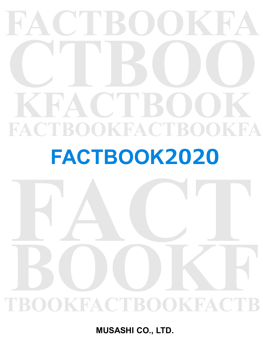# **FACTBOOKFA CTBOO KFACTBOOK FACTBOOKFACTBOOKFA**

# **FACTBOOK2020**

# FACT. **TBOOKFACTBOOKFACTB BOOKFACTROOKFACTR**

**MUSASHI CO., LTD.**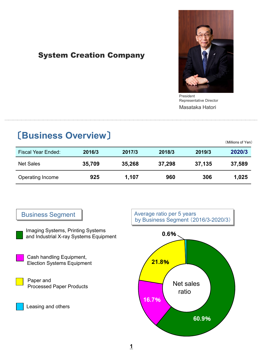# System Creation Company



President Masataka Hatori Representative Director

# 〔**Business Overview**〕

(Millions of Yen)

| <b>Fiscal Year Ended:</b> | 2016/3 | 2017/3 | 2018/3 | 2019/3 | 2020/3 |
|---------------------------|--------|--------|--------|--------|--------|
| <b>Net Sales</b>          | 35,709 | 35,268 | 37,298 | 37,135 | 37,589 |
| Operating Income          | 925    | 1,107  | 960    | 306    | 1,025  |

# Business Segment

Imaging Systems, Printing Systems and Industrial X-ray Systems Equipment

Cash handling Equipment, Election Systems Equipment

Paper and Processed Paper Products

Leasing and others



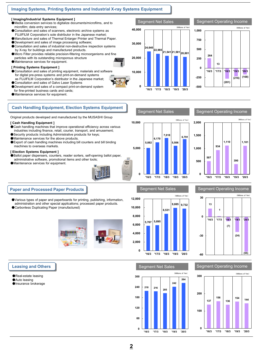## **Imaging Systems, Printing Systems and Industrial X-ray Systems Equipment**

#### **[ Imaging/Industrial Systems Equipment ]**

- ●Media conversion services to digitalize documents/microfilms, and to microfilm; data entry services;
- ●Consultation and sales of scanners, electronic archive systems as FUJIFILM Corporation's sole distributor in the Japanese market;
- ●Manufacture and sales of Thermal Enlarger Printer and Thermal Paper.
- ●Development and sales of image processing software;
- ●Consultation and sales of industrial non-destructive inspection systems by X-ray for buildings and manufactured products.
- ●Micro Filter provides reliable precision-filtering microorganisms and fine
- particles with its outstanding microporous structure
- ●Maintenance services for equipment.

#### **[ Printing Systems Equipment ]**

- Consultation and sales of printing equipment, materials and software for digital pre-press systems and print-on-demand systems as FUJIFILM Corporation's distributor in the Japanese market;
- ●Consultation and sales of Galvo Laser Systems
- ●Development and sales of a compact print-on-demand system
- for fine-printed business cards and cards; ●Maintenance services for equipment.

## **Cash Handling Equipment, Election Systems Equipment**

Original products developed and manufactured by the MUSASHI Group

#### **[ Cash Handling Equipment ]**

- ●Cash handling machines that improve operational efficiency across various
- industries including finance, retail, courier, transport, and amusement;
- Security products including Administrative products for keys;
- ●Maintenance services for the above products.

**Paper and Processed Paper Products**

●Carbonless Duplicating Paper (manufactured)

●Export of cash handling machines including bill counters and bill binding machines to overseas markets.

#### **[ Election Systems Equipment ]**

●Ballot paper dispensers, counters, reader sorters, self-opening ballot paper, administrative software, promotional items and other tools;

●Various types of paper and paperboards for printing, publishing, information, administration and other special applications; processed paper products.

●Maintenance services for equipment.



#### Segment Operating Income

**(281)**

**13** 





### Segment Net Sales Segment Operating Income



#### **Leasing and Others**

- ●Real-estate leasing
- ●Auto leasing
- ●Insurance brokerage

# Segment Net Sales Segment Operating Income **<sup>218</sup> <sup>216</sup> <sup>205</sup> 242 264 0 60 120 180 240 300 '16/3 '17/3 '18/3 '19/3 '20/3**



#### **2**



(Millions of Yen)

**(216) (168)**

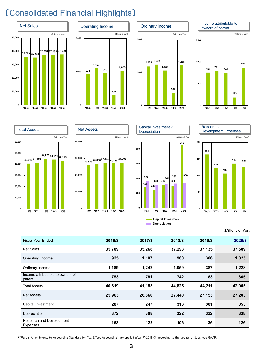# 〔Consolidated Financial Highlights〕

















(Millions of Yen)

| Fiscal Year Ended:                          | 2016/3 | 2017/3 | 2018/3 | 2019/3 | 2020/3 |
|---------------------------------------------|--------|--------|--------|--------|--------|
| <b>Net Sales</b>                            | 35,709 | 35,268 | 37,298 | 37,135 | 37,589 |
| Operating Income                            | 925    | 1,107  | 960    | 306    | 1,025  |
| Ordinary Income                             | 1,189  | 1,242  | 1,059  | 387    | 1,228  |
| Income attributable to owners of<br>parent  | 753    | 781    | 742    | 183    | 865    |
| <b>Total Assets</b>                         | 40,619 | 41,183 | 44,825 | 44,211 | 42,905 |
| <b>Net Assets</b>                           | 25,963 | 26,860 | 27,440 | 27,153 | 27,203 |
| Capital Investment                          | 287    | 247    | 313    | 301    | 855    |
| Depreciation                                | 372    | 308    | 322    | 332    | 338    |
| Research and Development<br><b>Expenses</b> | 163    | 122    | 106    | 136    | 126    |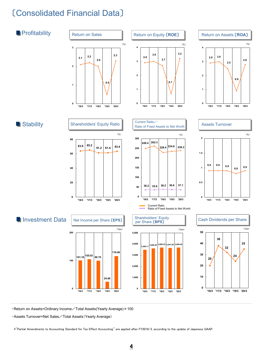# 〔Consolidated Financial Data〕



・Return on Assets=Ordinary Income/Total Assets(Yearly Average)×100

・Assets Turnover=Net Sales/Total Assets(Yearly Average)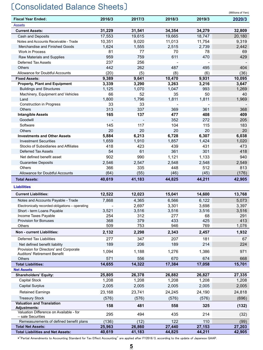# 〔Consolidated Balance Sheets〕

| <b>Fiscal Year Ended:</b>                                    | 2016/3 | 2017/3 | 2018/3 | 2019/3 | 2020/3 |
|--------------------------------------------------------------|--------|--------|--------|--------|--------|
| <b>Assets</b>                                                |        |        |        |        |        |
| <b>Current Assets:</b>                                       | 31,229 | 31,541 | 34,354 | 34,279 | 32,809 |
| Cash and Deposits                                            | 17,553 | 19,615 | 19,665 | 18,747 | 20,180 |
| Notes and Accounts Receivable - Trade                        | 10,351 | 9,020  | 11,013 | 11,754 | 9,319  |
| Merchandise and Finished Goods                               | 1,624  | 1,555  | 2,515  | 2,739  | 2,442  |
| Work in Process                                              | 81     | 77     | 70     | 78     | 69     |
| Raw Materials and Supplies                                   | 959    | 759    | 611    | 470    | 429    |
| <b>Deferred Tax Assets</b>                                   | 237    | 256    |        |        |        |
| <b>Others</b>                                                | 442    | 262    | 487    | 495    | 404    |
| Allowance for Doubtful Accounts                              | (20)   | (5)    | (8)    | (6)    | (36)   |
| <b>Fixed Assets:</b>                                         | 9,389  | 9,641  | 10,470 | 9,931  | 10,095 |
| <b>Property, Plant and Equipment</b>                         | 3,339  | 3,290  | 3,263  | 3,216  | 3,647  |
| <b>Buildings and Structures</b>                              | 1,125  | 1,070  | 1,047  | 993    | 1,269  |
| Machinery, Equipment and Vehicles                            | 66     | 52     | 35     | 50     | 40     |
| Land                                                         | 1,800  | 1,796  | 1,811  | 1,811  | 1,969  |
| <b>Construction in Progress</b>                              | 33     | 33     |        |        |        |
| <b>Others</b>                                                | 313    | 337    | 369    | 361    | 368    |
| <b>Intangible Assets</b>                                     | 165    | 137    | 477    | 408    | 409    |
| Goodwill                                                     |        |        | 352    | 272    | 205    |
| Software                                                     | 145    | 117    | 104    | 115    | 183    |
| <b>Others</b>                                                | 20     | 20     | 20     | 20     | 20     |
| <b>Investments and Other Assets</b>                          | 5,884  | 6,213  | 6,728  | 6,307  | 6,038  |
| <b>Investment Securities</b>                                 | 1,659  | 1,910  | 1,857  | 1,424  | 1,020  |
| Stocks of Subsidiaries and Affiliates                        | 418    | 423    | 439    | 431    | 473    |
| <b>Deferred Tax Assets</b>                                   | 54     | 61     | 361    | 301    | 418    |
| Net defined benefit asset                                    | 902    | 990    | 1,121  | 1,133  | 940    |
| <b>Guarantee Deposits</b>                                    | 2,546  | 2,547  | 2,548  | 2,548  | 2,549  |
| <b>Others</b>                                                | 366    | 335    | 448    | 512    | 813    |
| Allowance for Doubtful Accounts                              | (64)   | (55)   | (46)   | (45)   | (176)  |
| <b>Total Assets:</b>                                         | 40,619 | 41,183 | 44,825 | 44,211 | 42,905 |
| <b>Liabilities</b>                                           |        |        |        |        |        |
| <b>Current Liabilities:</b>                                  | 12,522 | 12,023 | 15,041 | 14,600 | 13,768 |
| Notes and Accounts Payable - Trade                           | 7,868  | 4,365  | 6,566  | 6,122  | 5,073  |
| Electronically recorded obligations - operating              |        | 2,697  | 3,301  | 3,698  | 3,397  |
| Short - term Loans Payable                                   | 3,521  | 3,516  | 3,516  | 3,516  | 3,516  |
| Income Taxes Payable                                         | 254    | 312    | 277    | 68     | 291    |
| <b>Provision for Bonuses</b>                                 | 368    | 379    | 433    | 425    | 413    |
| Others                                                       | 509    | 753    | 946    | 769    | 1,076  |
| Non - current Liabilities:                                   | 2,132  | 2,298  | 2,343  | 2,457  | 1,932  |
| <b>Deferred Tax Liabilities</b>                              | 277    | 347    | 207    | 181    | 67     |
| Net defined benefit liability                                | 189    | 206    | 189    | 214    | 224    |
| Provision for Directors' and Corporate                       |        |        |        |        |        |
| Auditors' Retirement Benefit                                 | 1,094  | 1,188  | 1,276  | 1,386  | 971    |
| <b>Others</b>                                                | 571    | 556    | 670    | 674    | 668    |
| <b>Total Liabilities:</b>                                    | 14,655 | 14,322 | 17,384 | 17,058 | 15,701 |
| <b>Net Assets</b>                                            |        |        |        |        |        |
| <b>Shareholders' Equity:</b>                                 | 25,805 | 26,378 | 26,882 | 26,827 | 27,335 |
| <b>Capital Stock</b>                                         | 1,208  | 1,208  | 1,208  | 1,208  | 1,208  |
| <b>Capital Surplus</b>                                       | 2,005  | 2,005  | 2,005  | 2,005  | 2,005  |
| <b>Retained Earnings</b>                                     | 23,168 | 23,741 | 24,245 | 24,190 | 24,818 |
| <b>Treasury Stock</b>                                        | (576)  | (576)  | (576)  | (576)  | (696)  |
| <b>Valuation and Translation</b>                             | 158    | 481    | 558    | 325    | (132)  |
| <b>Adjustments:</b>                                          |        |        |        |        |        |
| Valuation Difference on Available - for<br>- sale Securities | 295    | 494    | 435    | 214    | (32)   |
| Remeasurements of defined benefit plans                      | (136)  | (12)   | 122    | 110    | (99)   |
| <b>Total Net Assets:</b>                                     | 25,963 | 26,860 | 27,440 | 27,153 | 27,203 |
| <b>Total Liabilities and Net Assets:</b>                     | 40,619 | 41,183 | 44,825 | 44,211 | 42,905 |

(Millions of Yen)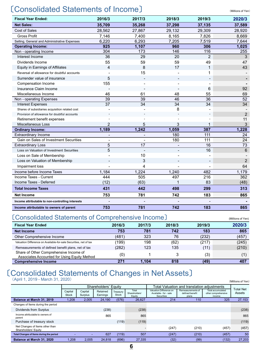# 〔Consolidated Statements of Income〕 (Millions of Yen)

| <b>Fiscal Year Ended:</b>                        | 2016/3                   | 2017/3                   | 2018/3                   | 2019/3         | 2020/3          |
|--------------------------------------------------|--------------------------|--------------------------|--------------------------|----------------|-----------------|
| <b>Net Sales:</b>                                | 35,709                   | 35.268                   | 37.298                   | 37.135         | 37.589          |
| <b>Cost of Sales</b>                             | 28,562                   | 27,867                   | 29,132                   | 29,309         | 28,920          |
| <b>Gross Profit</b>                              | 7,146                    | 7,400                    | 8,165                    | 7,826          | 8,669           |
| Selling, General and Administrative Expenses     | 6,220                    | 6,293                    | 7,205                    | 7,519          | 7,644           |
| <b>Operating Income:</b>                         | 925                      | 1,107                    | 960                      | 306            | 1,025           |
| Non - operating Income                           | 304                      | 173                      | 146                      | 116            | 255             |
| Interest Income                                  | 36                       | 29                       | 20                       | $\overline{2}$ | 3               |
| Dividends Income                                 | 55                       | 59                       | 59                       | 49             | 47              |
| <b>Equity in Earnings of Affiliates</b>          | 4                        | 8                        | 17                       | 1              | 43              |
| Reversal of allowance for doubtful accounts      |                          | 15                       |                          | 1              |                 |
| Surrender value of insurance                     | 5                        |                          |                          |                |                 |
| Compensation Income                              | 155                      |                          |                          |                |                 |
| Insurance Claim Income                           |                          |                          |                          | 6              | 92              |
| Miscellaneous Income                             | 46                       | 61                       | 48                       | 55             | 69              |
| Non - operating Expenses                         | $\overline{39}$          | $\overline{39}$          | 46                       | 36             | $\overline{52}$ |
| <b>Interest Expenses</b>                         | 37                       | 34                       | $\overline{34}$          | 34             | $\overline{34}$ |
| Shares of subsidiaries acquisition related cost  |                          |                          | 8                        |                |                 |
| Provision of allowance for doubtful accounts     |                          |                          |                          |                | $\overline{2}$  |
| Retirement benefit expenses                      |                          |                          |                          |                | 11              |
| Miscellaneous Loss                               | $\overline{2}$           | 5                        | 3                        | 1              | 3               |
| <b>Ordinary Income:</b>                          | 1,189                    | 1,242                    | 1,059                    | 387            | 1,228           |
| <b>Extraordinary Income</b>                      | $\overline{\phantom{a}}$ | $\overline{\phantom{a}}$ | 180                      | 111            | 24              |
| Gain on Sales of Investment Securities           |                          |                          | 180                      | 111            | 24              |
| <b>Extraordinary Loss</b>                        | 5                        | 17                       |                          | 16             | 73              |
| Loss on Valuation of Investment Securities       | 5                        |                          | $\overline{\phantom{0}}$ | 16             | 6               |
| Loss on Sale of Membership                       |                          | 10                       |                          |                |                 |
| Loss on Valuation of Membership                  |                          | 3                        |                          |                | 2               |
| Impairment loss                                  |                          | 4                        |                          |                | 64              |
| Income before Income Taxes                       | 1,184                    | 1,224                    | 1,240                    | 482            | 1,179           |
| Income Taxes - Current                           | 444                      | 505                      | 497                      | 216            | 362             |
| Income Taxes - Deferred                          | (12)                     | (63)                     | 1                        | 83             | (48)            |
| <b>Total Income Taxes</b>                        | 431                      | 442                      | 498                      | 299            | 313             |
| <b>Net Income</b>                                | 753                      | 781                      | 742                      | 183            | 865             |
| Income attributable to non-controlling interests |                          |                          |                          |                |                 |
| Income attributable to owners of parent          | 753                      | 781                      | 742                      | 183            | 865             |

# 〔Consolidated Statements of Comprehensive Income〕 (Millions of Yen)

| <b>Fiscal Year Ended</b>                                                               | 2016/3 | 2017/3 | 2018/3 | 2019/3 | 2020/3 |
|----------------------------------------------------------------------------------------|--------|--------|--------|--------|--------|
| <b>Net Income</b>                                                                      | 753    | 781    | 742    | 183    | 865    |
| Other Comprehensive Income                                                             | (481)  | 323    | 76     | (232)  | (457)  |
| Valuation Difference on Available-for-sale Securities, net of tax                      | (199)  | 198    | (62)   | (217)  | (245)  |
| Remeasurements of defined benefit plans, net of tax                                    | (282)  | 123    | 135    | (11)   | (210)  |
| Share of Other Comprehensive Income of<br>Associates Accounted for Using Equity Method | (0)    |        |        | (3)    |        |
| <b>Comprehensive Income</b>                                                            | 271    | 1.104  | 818    | (49)   | 407    |

# 〔Consolidated Statements of Changes in Net Assets〕

(April 1, 2019 - March 31, 2020) (Millions of Yen)

|                                                         |                  |                          | Shareholders' Equity |                   |                                  | Total Valuation and translation adiustments                     |                                               |                                                           |                     |
|---------------------------------------------------------|------------------|--------------------------|----------------------|-------------------|----------------------------------|-----------------------------------------------------------------|-----------------------------------------------|-----------------------------------------------------------|---------------------|
|                                                         | Capital<br>Stock | Capital<br>Surplus       | Retained<br>Earnings | Treasury<br>Stock | Total<br>Shareholders'<br>Equity | Valuation Difference on<br>Available - for - sale<br>Securities | Remeasurements of<br>defined benefit<br>plans | <b>Total accumulated</b><br>other comprehensive<br>income | Total Net<br>Assets |
| Balance at March 31, 2019                               | 1.208            | 2.005                    | 24.190               | (576)             | 26.827                           | 214                                                             | 110                                           | 325                                                       | 27,153              |
| Changes of Items during the period                      |                  |                          |                      |                   |                                  |                                                                 |                                               |                                                           |                     |
| Dividends from Surplus                                  |                  |                          | (238)                |                   | (238)                            |                                                                 |                                               |                                                           | (238)               |
| Income attributable to owners of<br>parent              |                  |                          | 865                  |                   | 865                              |                                                                 |                                               |                                                           | 865                 |
| Purchase of treasury stock                              |                  |                          |                      | (119)             | (119)                            |                                                                 |                                               |                                                           | (119)               |
| Net Changes of Items other than<br>Shareholders' Equity |                  |                          |                      |                   |                                  | (247)                                                           | (210)                                         | (457)                                                     | (457)               |
| Total Changes of Items during the period                |                  | $\overline{\phantom{0}}$ | 627                  | (119)             | 507                              | (247)                                                           | (210)                                         | (457)                                                     | 50                  |
| Balance at March 31, 2020                               | 1.208            | 2.005                    | 24.818               | (696)             | 27.335                           | (32)                                                            | (99)                                          | (132)                                                     | 27.203              |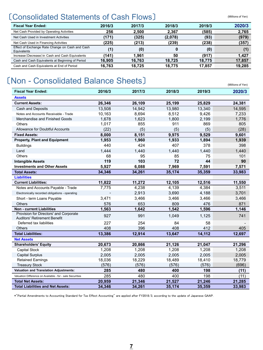# 〔Consolidated Statements of Cash Flows〕 (Millions of Yen)

| <b>Fiscal Year Ended:</b>                                      | 2016/3 | 2017/3 | 2018/3  | 2019/3 | 2020/3 |
|----------------------------------------------------------------|--------|--------|---------|--------|--------|
| Net Cash Provided by Operating Activities                      | 256    | 2.500  | 2.367   | (585)  | 2,765  |
| Net Cash Used in Investment Activities                         | (171)  | (325)  | (2,078) | (93)   | (979)  |
| Net Cash Used in Financing Activities                          | (225)  | (213)  | (239)   | (238)  | (357)  |
| Effect of Exchange Rate Change on Cash and Cash<br>Equivalents | (1)    | (0)    |         | (0)    |        |
| Increase (Decrease) in Cash and Cash Equivalents               | (141)  | 1.961  | 50      | (917)  | 1.427  |
| Cash and Cash Equivalents at Beginning of Period               | 16.905 | 16.763 | 18.725  | 18.775 | 17,857 |
| Cash and Cash Equivalents at End of Period                     | 16.763 | 18.725 | 18,775  | 17.857 | 19.285 |

# 〔Non - Consolidated Balance Sheets〕 (Millions of Yen)

| <b>Fiscal Year Ended:</b>                                                     | 2016/3 | 2017/3 | 2018/3 | 2019/3 | 2020/3 |
|-------------------------------------------------------------------------------|--------|--------|--------|--------|--------|
| <b>Assets</b>                                                                 |        |        |        |        |        |
| <b>Current Assets:</b>                                                        | 26,346 | 26,109 | 25,199 | 25,829 | 24,381 |
| Cash and Deposits                                                             | 13,508 | 14,942 | 13,980 | 13,340 | 14,595 |
| Notes and Accounts Receivable - Trade                                         | 10,163 | 8,694  | 8,512  | 9,426  | 7,233  |
| Merchandise and Finished Goods                                                | 1,678  | 1,623  | 1,800  | 2,199  | 1,776  |
| <b>Others</b>                                                                 | 1,017  | 855    | 911    | 869    | 805    |
| <b>Allowance for Doubtful Accounts</b>                                        | (22)   | (5)    | (5)    | (5)    | (28)   |
| <b>Fixed Assets:</b>                                                          | 8,000  | 8,151  | 9,975  | 9,529  | 9,601  |
| <b>Property, Plant and Equipment</b>                                          | 1,953  | 1,960  | 1,933  | 1,894  | 1,939  |
| <b>Buildings</b>                                                              | 440    | 424    | 407    | 378    | 398    |
| Land                                                                          | 1,444  | 1,440  | 1,440  | 1,440  | 1,440  |
| Others                                                                        | 68     | 95     | 85     | 75     | 101    |
| <b>Intangible Assets</b>                                                      | 119    | 103    | 72     | 44     | 90     |
| <b>Investments and Other Assets</b>                                           | 5,927  | 6,088  | 7,969  | 7,591  | 7,571  |
| <b>Total Assets:</b>                                                          | 34,346 | 34,261 | 35,174 | 35,359 | 33,983 |
| <b>Liabilities</b>                                                            |        |        |        |        |        |
| <b>Current Liabilities:</b>                                                   | 11,822 | 11,272 | 12,105 | 12,516 | 11,550 |
| Notes and Accounts Payable - Trade                                            | 7,775  | 4,238  | 4,139  | 4,384  | 3,511  |
| Electronically recorded obligations - operating                               |        | 2,913  | 3,690  | 4,188  | 3,701  |
| Short - term Loans Payable                                                    | 3,471  | 3,466  | 3,466  | 3,466  | 3,466  |
| <b>Others</b>                                                                 | 576    | 653    | 809    | 476    | 871    |
| <b>Non - current Liabilities</b>                                              | 1.563  | 1.642  | 1,542  | 1,596  | 1,146  |
| Provision for Directors' and Corporate<br><b>Auditors' Retirement Benefit</b> | 927    | 991    | 1,049  | 1,125  | 741    |
| Deferred tax liabilities                                                      | 227    | 254    | 84     | 58     |        |
| <b>Others</b>                                                                 | 408    | 396    | 408    | 412    | 405    |
| <b>Total Liabilities:</b>                                                     | 13,386 | 12,914 | 13,647 | 14,112 | 12,697 |
| <b>Net Assets</b>                                                             |        |        |        |        |        |
| <b>Shareholders' Equity</b>                                                   | 20,673 | 20,866 | 21,126 | 21.047 | 21,296 |
| Capital Stock                                                                 | 1,208  | 1,208  | 1,208  | 1,208  | 1,208  |
| <b>Capital Surplus</b>                                                        | 2,005  | 2,005  | 2,005  | 2,005  | 2,005  |
| <b>Retained Earnings</b>                                                      | 18,036 | 18,229 | 18,489 | 18,410 | 18,779 |
| <b>Treasury Stock</b>                                                         | (576)  | (576)  | (576)  | (576)  | (696)  |
| <b>Valuation and Translation Adjustments:</b>                                 | 285    | 480    | 400    | 198    | (11)   |
| Valuation Difference on Available - for - sale Securities                     | 285    | 480    | 400    | 198    | (11)   |
| <b>Total Net Assets:</b>                                                      | 20,959 | 21,346 | 21,527 | 21,246 | 21,285 |
| <b>Total Liabilities and Net Assets:</b>                                      | 34,346 | 34,261 | 35,174 | 35,359 | 33,983 |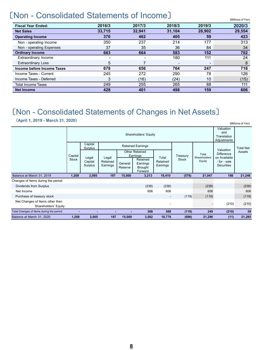# 〔Non - Consolidated Statements of Income〕 (Millions of Yen)

| <b>Fiscal Year Ended:</b>   | 2016/3                   | 2017/3 | 2018/3 | 2019/3                   | 2020/3 |
|-----------------------------|--------------------------|--------|--------|--------------------------|--------|
| <b>Net Sales</b>            | 33,715                   | 32.941 | 31,104 | 28,902                   | 29,554 |
| <b>Operating Income</b>     | 370                      | 462    | 405    | 59                       | 423    |
| Non - operating Income      | 350                      | 237    | 214    | 177                      | 313    |
| Non - operating Expenses    | 37                       | 35     | 36     | 84                       | 34     |
| <b>Ordinary Income</b>      | 683                      | 664    | 583    | 152                      | 702    |
| <b>Extraordinary Income</b> | $\overline{\phantom{0}}$ |        | 180    | 111                      | 24     |
| <b>Extraordinary Loss</b>   | 5                        |        |        | $\overline{\phantom{a}}$ | 8      |
| Income before Income Taxes  | 678                      | 656    | 764    | 247                      | 718    |
| Income Taxes - Current      | 245                      | 272    | 290    | 78                       | 126    |
| Income Taxes - Deferred     | 3                        | (16)   | (24)   | 10                       | (15)   |
| <b>Total Income Taxes</b>   | 249                      | 255    | 265    | 88                       | 111    |
| <b>Net Income</b>           | 428                      | 401    | 498    | 159                      | 606    |

# 〔Non - Consolidated Statements of Changes in Net Assets〕

(**April 1, 2019 - March 31, 2020**)

|                                                         |              |                             |                               |                    | Shareholders' Equity                       |                          |              |                        | Valuation<br>and<br>Translation<br>Adjustments |                  |
|---------------------------------------------------------|--------------|-----------------------------|-------------------------------|--------------------|--------------------------------------------|--------------------------|--------------|------------------------|------------------------------------------------|------------------|
|                                                         |              | Capital<br>Surplus          |                               |                    | <b>Retained Earnings</b>                   |                          |              |                        | Valuation                                      | <b>Total Net</b> |
|                                                         | Capital      |                             |                               |                    | <b>Other Retained</b><br>Earnings          | Total                    | Treasury     | Total<br>Shareholders' | <b>Difference</b><br>on Available              | Assets           |
|                                                         | <b>Stock</b> | Legal<br>Capital<br>Surplus | Legal<br>Retained<br>Earnings | General<br>Reserve | Retained<br>Earnings<br>Brought<br>Forward | Retained<br>Earnings     | <b>Stock</b> | Equity                 | - for - sale<br><b>Securities</b>              |                  |
| Balance at March 31, 2019                               | 1,208        | 2,005                       | 197                           | 15,000             | 3,213                                      | 18,410                   | (576)        | 21,047                 | 198                                            | 21,246           |
| Changes of Items during the period                      |              |                             |                               |                    |                                            |                          |              |                        |                                                |                  |
| Dividends from Surplus                                  |              |                             |                               |                    | (238)                                      | (238)                    |              | (238)                  |                                                | (238)            |
| Net Income                                              |              |                             |                               |                    | 606                                        | 606                      |              | 606                    |                                                | 606              |
| Purchase of treasury stock                              |              |                             |                               |                    |                                            | $\overline{\phantom{a}}$ | (119)        | (119)                  |                                                | (119)            |
| Net Changes of Items other than<br>Shareholders' Equity |              |                             |                               |                    |                                            |                          |              |                        | (210)                                          | (210)            |
| Total Changes of Items during the period                | -            |                             |                               |                    | 368                                        | 368                      | (119)        | 249                    | (210)                                          | 39               |
| Balance at March 31, 2020                               | 1,208        | 2,005                       | 197                           | 15,000             | 3,582                                      | 18,779                   | (696)        | 21,296                 | (11)                                           | 21,285           |

(Millions of Yen)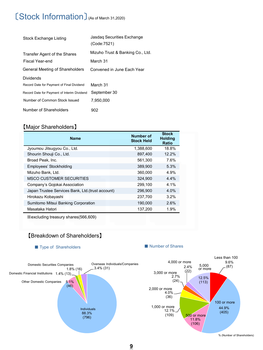# 〔Stock Information〕(As of March 31,2020)

| Stock Exchange Listing                      | Jasdag Securities Exchange<br>(Code:7521) |
|---------------------------------------------|-------------------------------------------|
| Transfer Agent of the Shares                | Mizuho Trust & Banking Co., Ltd.          |
| Fiscal Year-end                             | March 31                                  |
| General Meeting of Shareholders             | Convened in June Each Year                |
| <b>Dividends</b>                            |                                           |
| Record Date for Payment of Final Dividend   | March 31                                  |
| Record Date for Payment of Interim Dividend | September 30                              |
| Number of Common Stock Issued               | 7.950.000                                 |
| Number of Shareholders                      | 902                                       |

# 【Major Shareholders】

| <b>Name</b>                                      | <b>Number of</b><br><b>Stock Held</b> | <b>Stock</b><br><b>Holding</b><br>Ratio |
|--------------------------------------------------|---------------------------------------|-----------------------------------------|
| Jyoumou Jitsugyou Co., Ltd.                      | 1,388,600                             | 18.8%                                   |
| Shourin Shouji Co., Ltd.                         | 897.400                               | 12.2%                                   |
| Broad Peak, Inc.                                 | 561,300                               | 7.6%                                    |
| Employees' Stockholding                          | 389,900                               | 5.3%                                    |
| Mizuho Bank, Ltd.                                | 360,000                               | 4.9%                                    |
| <b>MSCO CUSTOMER SECURITIES</b>                  | 324.900                               | 4.4%                                    |
| Company's Gojokai Association                    | 299.100                               | 4.1%                                    |
| Japan Trustee Services Bank, Ltd.(trust account) | 296,900                               | 4.0%                                    |
| Hirokazu Kobayashi                               | 237,700                               | 3.2%                                    |
| Sumitomo Mitsui Banking Corporation              | 190.000                               | 2.6%                                    |
| Masataka Hatori                                  | 137,200                               | 1.9%                                    |

※excluding treasury shares(566,609)

# 【Breakdown of Shareholders】

5.1% (46)

> 88.3% (796)

Individuals

 $1.8\%$  (16)  $-3.4\%$  (31)

■ Type of Shareholders ■ Number of Shares

Domestic Financial Institutions 1.4% (13)

Other Domestic Companies



% (Number of Shareholders)